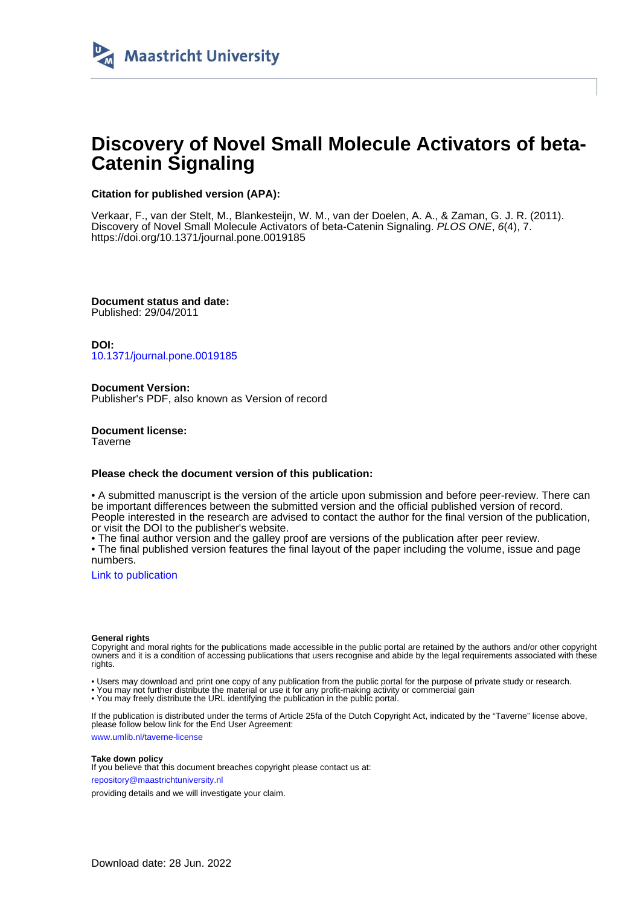

# **Discovery of Novel Small Molecule Activators of beta-Catenin Signaling**

# **Citation for published version (APA):**

Verkaar, F., van der Stelt, M., Blankesteijn, W. M., van der Doelen, A. A., & Zaman, G. J. R. (2011). Discovery of Novel Small Molecule Activators of beta-Catenin Signaling. PLOS ONE, 6(4), 7. <https://doi.org/10.1371/journal.pone.0019185>

**Document status and date:** Published: 29/04/2011

**DOI:** [10.1371/journal.pone.0019185](https://doi.org/10.1371/journal.pone.0019185)

**Document Version:** Publisher's PDF, also known as Version of record

**Document license: Taverne** 

# **Please check the document version of this publication:**

• A submitted manuscript is the version of the article upon submission and before peer-review. There can be important differences between the submitted version and the official published version of record. People interested in the research are advised to contact the author for the final version of the publication, or visit the DOI to the publisher's website.

• The final author version and the galley proof are versions of the publication after peer review.

• The final published version features the final layout of the paper including the volume, issue and page numbers.

[Link to publication](https://cris.maastrichtuniversity.nl/en/publications/a05fe339-47e0-4c28-8190-027559e758d7)

## **General rights**

Copyright and moral rights for the publications made accessible in the public portal are retained by the authors and/or other copyright owners and it is a condition of accessing publications that users recognise and abide by the legal requirements associated with these rights.

• Users may download and print one copy of any publication from the public portal for the purpose of private study or research.

• You may not further distribute the material or use it for any profit-making activity or commercial gain

• You may freely distribute the URL identifying the publication in the public portal.

If the publication is distributed under the terms of Article 25fa of the Dutch Copyright Act, indicated by the "Taverne" license above, please follow below link for the End User Agreement:

www.umlib.nl/taverne-license

# **Take down policy**

If you believe that this document breaches copyright please contact us at: repository@maastrichtuniversity.nl

providing details and we will investigate your claim.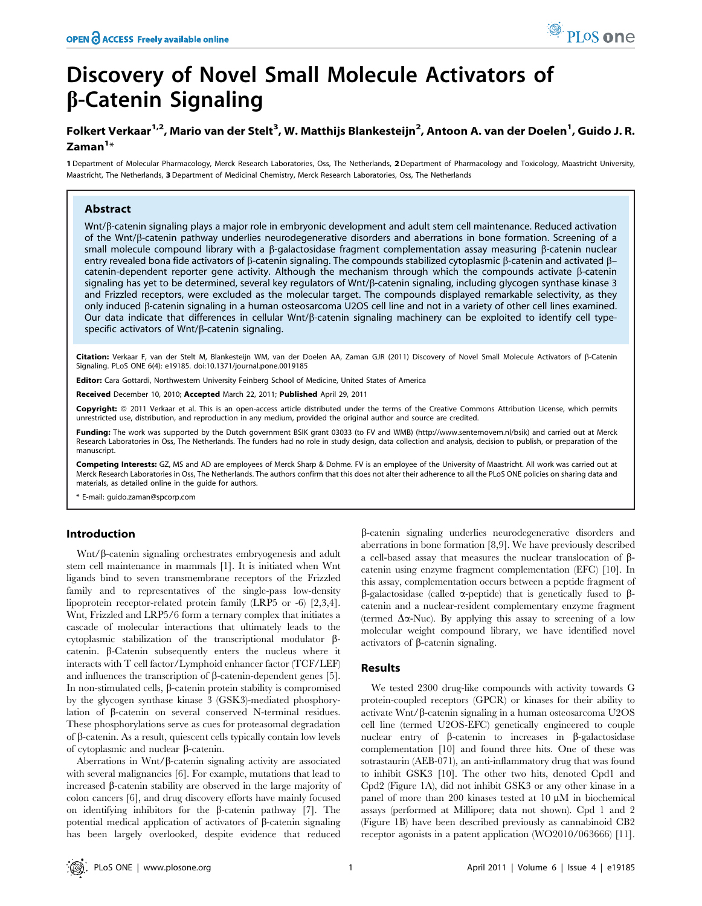# Discovery of Novel Small Molecule Activators of b-Catenin Signaling

# Folkert Verkaar<sup>1,2</sup>, Mario van der Stelt<sup>3</sup>, W. Matthijs Blankesteijn<sup>2</sup>, Antoon A. van der Doelen<sup>1</sup>, Guido J. R.  $\mathsf{Zaman}^{1*}$

1 Department of Molecular Pharmacology, Merck Research Laboratories, Oss, The Netherlands, 2Department of Pharmacology and Toxicology, Maastricht University, Maastricht, The Netherlands, 3 Department of Medicinal Chemistry, Merck Research Laboratories, Oss, The Netherlands

# Abstract

Wnt/ $\beta$ -catenin signaling plays a major role in embryonic development and adult stem cell maintenance. Reduced activation of the Wnt/b-catenin pathway underlies neurodegenerative disorders and aberrations in bone formation. Screening of a small molecule compound library with a  $\beta$ -galactosidase fragment complementation assay measuring  $\beta$ -catenin nuclear entry revealed bona fide activators of  $\beta$ -catenin signaling. The compounds stabilized cytoplasmic  $\beta$ -catenin and activated  $\beta$ catenin-dependent reporter gene activity. Although the mechanism through which the compounds activate  $\beta$ -catenin signaling has yet to be determined, several key regulators of Wnt/ß-catenin signaling, including glycogen synthase kinase 3 and Frizzled receptors, were excluded as the molecular target. The compounds displayed remarkable selectivity, as they only induced b-catenin signaling in a human osteosarcoma U2OS cell line and not in a variety of other cell lines examined. Our data indicate that differences in cellular Wnt/b-catenin signaling machinery can be exploited to identify cell typespecific activators of Wnt/ß-catenin signaling.

Citation: Verkaar F, van der Stelt M, Blankesteijn WM, van der Doelen AA, Zaman GJR (2011) Discovery of Novel Small Molecule Activators of ß-Catenin Signaling. PLoS ONE 6(4): e19185. doi:10.1371/journal.pone.0019185

Editor: Cara Gottardi, Northwestern University Feinberg School of Medicine, United States of America

Received December 10, 2010; Accepted March 22, 2011; Published April 29, 2011

Copyright: © 2011 Verkaar et al. This is an open-access article distributed under the terms of the Creative Commons Attribution License, which permits unrestricted use, distribution, and reproduction in any medium, provided the original author and source are credited.

Funding: The work was supported by the Dutch government BSIK grant 03033 (to FV and WMB) (http://www.senternovem.nl/bsik) and carried out at Merck Research Laboratories in Oss, The Netherlands. The funders had no role in study design, data collection and analysis, decision to publish, or preparation of the manuscript.

Competing Interests: GZ, MS and AD are employees of Merck Sharp & Dohme. FV is an employee of the University of Maastricht. All work was carried out at Merck Research Laboratories in Oss, The Netherlands. The authors confirm that this does not alter their adherence to all the PLoS ONE policies on sharing data and materials, as detailed online in the guide for authors.

\* E-mail: guido.zaman@spcorp.com

# Introduction

Wnt/β-catenin signaling orchestrates embryogenesis and adult stem cell maintenance in mammals [1]. It is initiated when Wnt ligands bind to seven transmembrane receptors of the Frizzled family and to representatives of the single-pass low-density lipoprotein receptor-related protein family (LRP5 or -6) [2,3,4]. Wnt, Frizzled and LRP5/6 form a ternary complex that initiates a cascade of molecular interactions that ultimately leads to the cytoplasmic stabilization of the transcriptional modulator bcatenin. b-Catenin subsequently enters the nucleus where it interacts with T cell factor/Lymphoid enhancer factor (TCF/LEF) and influences the transcription of  $\beta$ -catenin-dependent genes [5]. In non-stimulated cells,  $\beta$ -catenin protein stability is compromised by the glycogen synthase kinase 3 (GSK3)-mediated phosphorylation of b-catenin on several conserved N-terminal residues. These phosphorylations serve as cues for proteasomal degradation of  $\beta$ -catenin. As a result, quiescent cells typically contain low levels of cytoplasmic and nuclear  $\beta$ -catenin.

Aberrations in Wnt/ $\beta$ -catenin signaling activity are associated with several malignancies [6]. For example, mutations that lead to increased b-catenin stability are observed in the large majority of colon cancers [6], and drug discovery efforts have mainly focused on identifying inhibitors for the  $\beta$ -catenin pathway [7]. The potential medical application of activators of  $\beta$ -catenin signaling has been largely overlooked, despite evidence that reduced

b-catenin signaling underlies neurodegenerative disorders and aberrations in bone formation [8,9]. We have previously described a cell-based assay that measures the nuclear translocation of  $\beta$ catenin using enzyme fragment complementation (EFC) [10]. In this assay, complementation occurs between a peptide fragment of  $\beta$ -galactosidase (called  $\alpha$ -peptide) that is genetically fused to  $\beta$ catenin and a nuclear-resident complementary enzyme fragment (termed  $\Delta \alpha$ -Nuc). By applying this assay to screening of a low molecular weight compound library, we have identified novel activators of  $\beta$ -catenin signaling.

# Results

We tested 2300 drug-like compounds with activity towards G protein-coupled receptors (GPCR) or kinases for their ability to activate Wnt/ $\beta$ -catenin signaling in a human osteosarcoma U2OS cell line (termed U2OS-EFC) genetically engineered to couple nuclear entry of  $\beta$ -catenin to increases in  $\beta$ -galactosidase complementation [10] and found three hits. One of these was sotrastaurin (AEB-071), an anti-inflammatory drug that was found to inhibit GSK3 [10]. The other two hits, denoted Cpd1 and Cpd2 (Figure 1A), did not inhibit GSK3 or any other kinase in a panel of more than 200 kinases tested at 10  $\mu$ M in biochemical assays (performed at Millipore; data not shown). Cpd 1 and 2 (Figure 1B) have been described previously as cannabinoid CB2 receptor agonists in a patent application (WO2010/063666) [11].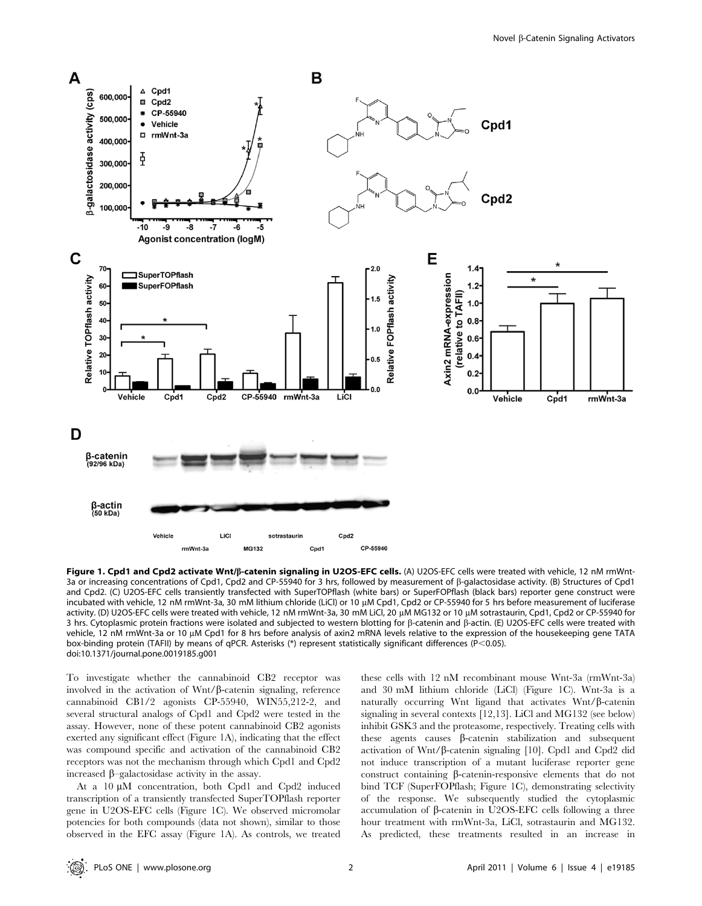

Figure 1. Cpd1 and Cpd2 activate Wnt/ß-catenin signaling in U2OS-EFC cells. (A) U2OS-EFC cells were treated with vehicle, 12 nM rmWnt-3a or increasing concentrations of Cpd1, Cpd2 and CP-55940 for 3 hrs, followed by measurement of b-galactosidase activity. (B) Structures of Cpd1 and Cpd2. (C) U2OS-EFC cells transiently transfected with SuperTOPflash (white bars) or SuperFOPflash (black bars) reporter gene construct were incubated with vehicle, 12 nM rmWnt-3a, 30 mM lithium chloride (LiCl) or 10 μM Cpd1, Cpd2 or CP-55940 for 5 hrs before measurement of luciferase activity. (D) U2OS-EFC cells were treated with vehicle, 12 nM rmWnt-3a, 30 mM LiCl, 20 µM MG132 or 10 µM sotrastaurin, Cpd1, Cpd2 or CP-55940 for 3 hrs. Cytoplasmic protein fractions were isolated and subjected to western blotting for  $\beta$ -catenin and  $\beta$ -actin. (E) U2OS-EFC cells were treated with vehicle, 12 nM rmWnt-3a or 10 µM Cpd1 for 8 hrs before analysis of axin2 mRNA levels relative to the expression of the housekeeping gene TATA box-binding protein (TAFII) by means of qPCR. Asterisks (\*) represent statistically significant differences (P<0.05). doi:10.1371/journal.pone.0019185.g001

To investigate whether the cannabinoid CB2 receptor was involved in the activation of  $Wnt/\beta$ -catenin signaling, reference cannabinoid CB1/2 agonists CP-55940, WIN55,212-2, and several structural analogs of Cpd1 and Cpd2 were tested in the assay. However, none of these potent cannabinoid CB2 agonists exerted any significant effect (Figure 1A), indicating that the effect was compound specific and activation of the cannabinoid CB2 receptors was not the mechanism through which Cpd1 and Cpd2 increased  $\beta$ –galactosidase activity in the assay.

At a 10  $\mu$ M concentration, both Cpd1 and Cpd2 induced transcription of a transiently transfected SuperTOPflash reporter gene in U2OS-EFC cells (Figure 1C). We observed micromolar potencies for both compounds (data not shown), similar to those observed in the EFC assay (Figure 1A). As controls, we treated these cells with 12 nM recombinant mouse Wnt-3a (rmWnt-3a) and 30 mM lithium chloride (LiCl) (Figure 1C). Wnt-3a is a naturally occurring Wnt ligand that activates  $Wnt/\beta$ -catenin signaling in several contexts [12,13]. LiCl and MG132 (see below) inhibit GSK3 and the proteasome, respectively. Treating cells with these agents causes b-catenin stabilization and subsequent activation of Wnt/ $\beta$ -catenin signaling [10]. Cpd1 and Cpd2 did not induce transcription of a mutant luciferase reporter gene construct containing b-catenin-responsive elements that do not bind TCF (SuperFOPflash; Figure 1C), demonstrating selectivity of the response. We subsequently studied the cytoplasmic accumulation of  $\beta$ -catenin in U2OS-EFC cells following a three hour treatment with rmWnt-3a, LiCl, sotrastaurin and MG132. As predicted, these treatments resulted in an increase in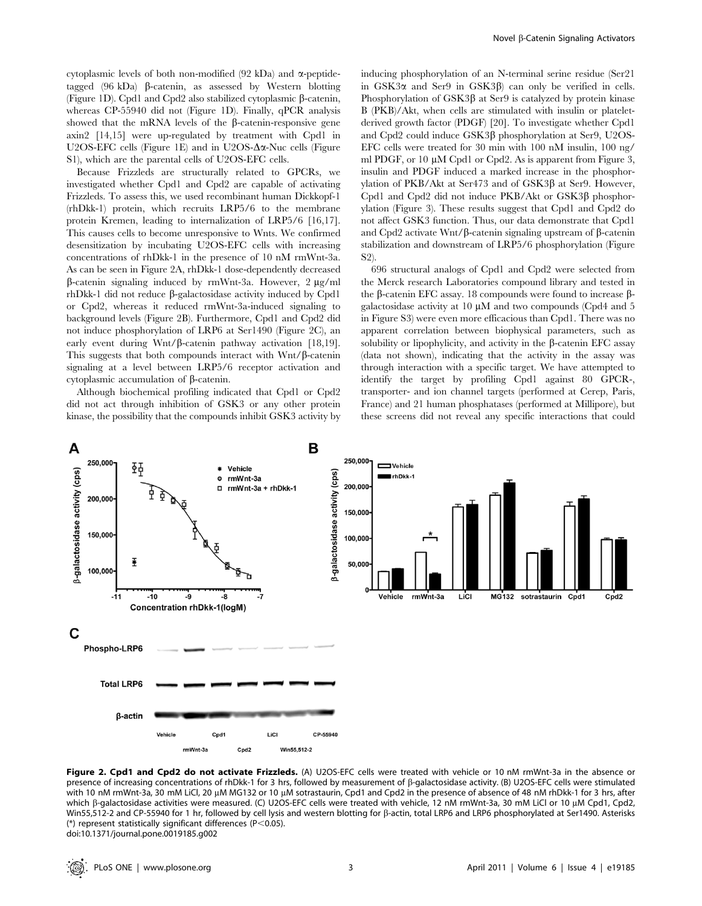cytoplasmic levels of both non-modified  $(92 \text{ kDa})$  and  $\alpha$ -peptidetagged  $(96 \text{ kDa})$   $\beta$ -catenin, as assessed by Western blotting (Figure 1D). Cpd1 and Cpd2 also stabilized cytoplasmic  $\beta$ -catenin, whereas CP-55940 did not (Figure 1D). Finally, qPCR analysis showed that the mRNA levels of the  $\beta$ -catenin-responsive gene axin2 [14,15] were up-regulated by treatment with Cpd1 in U2OS-EFC cells (Figure 1E) and in U2OS- $\Delta \alpha$ -Nuc cells (Figure S1), which are the parental cells of U2OS-EFC cells.

Because Frizzleds are structurally related to GPCRs, we investigated whether Cpd1 and Cpd2 are capable of activating Frizzleds. To assess this, we used recombinant human Dickkopf-1 (rhDkk-1) protein, which recruits LRP5/6 to the membrane protein Kremen, leading to internalization of LRP5/6 [16,17]. This causes cells to become unresponsive to Wnts. We confirmed desensitization by incubating U2OS-EFC cells with increasing concentrations of rhDkk-1 in the presence of 10 nM rmWnt-3a. As can be seen in Figure 2A, rhDkk-1 dose-dependently decreased  $\beta$ -catenin signaling induced by rmWnt-3a. However, 2  $\mu$ g/ml rhDkk-1 did not reduce  $\beta$ -galactosidase activity induced by Cpd1 or Cpd2, whereas it reduced rmWnt-3a-induced signaling to background levels (Figure 2B). Furthermore, Cpd1 and Cpd2 did not induce phosphorylation of LRP6 at Ser1490 (Figure 2C), an early event during Wnt/ $\beta$ -catenin pathway activation [18,19]. This suggests that both compounds interact with  $Wnt/\beta$ -catenin signaling at a level between LRP5/6 receptor activation and cytoplasmic accumulation of  $\beta$ -catenin.

Although biochemical profiling indicated that Cpd1 or Cpd2 did not act through inhibition of GSK3 or any other protein kinase, the possibility that the compounds inhibit GSK3 activity by

inducing phosphorylation of an N-terminal serine residue (Ser21 in  $GSK3\alpha$  and Ser9 in  $GSK3\beta$  can only be verified in cells. Phosphorylation of  $GSK3\beta$  at Ser9 is catalyzed by protein kinase B (PKB)/Akt, when cells are stimulated with insulin or plateletderived growth factor (PDGF) [20]. To investigate whether Cpd1 and Cpd2 could induce  $GSK3\beta$  phosphorylation at Ser9, U2OS-EFC cells were treated for 30 min with 100 nM insulin, 100 ng/ ml PDGF, or 10  $\mu$ M Cpd1 or Cpd2. As is apparent from Figure 3, insulin and PDGF induced a marked increase in the phosphorylation of PKB/Akt at Ser473 and of GSK3b at Ser9. However, Cpd1 and Cpd2 did not induce PKB/Akt or GSK3B phosphorylation (Figure 3). These results suggest that Cpd1 and Cpd2 do not affect GSK3 function. Thus, our data demonstrate that Cpd1 and Cpd2 activate Wnt/ $\beta$ -catenin signaling upstream of  $\beta$ -catenin stabilization and downstream of LRP5/6 phosphorylation (Figure S2).

696 structural analogs of Cpd1 and Cpd2 were selected from the Merck research Laboratories compound library and tested in the  $\beta$ -catenin EFC assay. 18 compounds were found to increase  $\beta$ galactosidase activity at  $10 \mu M$  and two compounds (Cpd4 and 5 in Figure S3) were even more efficacious than Cpd1. There was no apparent correlation between biophysical parameters, such as solubility or lipophylicity, and activity in the  $\beta$ -catenin EFC assay (data not shown), indicating that the activity in the assay was through interaction with a specific target. We have attempted to identify the target by profiling Cpd1 against 80 GPCR-, transporter- and ion channel targets (performed at Cerep, Paris, France) and 21 human phosphatases (performed at Millipore), but these screens did not reveal any specific interactions that could



Figure 2. Cpd1 and Cpd2 do not activate Frizzleds. (A) U2OS-EFC cells were treated with vehicle or 10 nM rmWnt-3a in the absence or presence of increasing concentrations of rhDkk-1 for 3 hrs, followed by measurement of b-galactosidase activity. (B) U2OS-EFC cells were stimulated with 10 nM rmWnt-3a, 30 mM LiCl, 20 µM MG132 or 10 µM sotrastaurin, Cpd1 and Cpd2 in the presence of absence of 48 nM rhDkk-1 for 3 hrs, after which β-galactosidase activities were measured. (C) U2OS-EFC cells were treated with vehicle, 12 nM rmWnt-3a, 30 mM LiCl or 10 μM Cpd1, Cpd2, Win55,512-2 and CP-55940 for 1 hr, followed by cell lysis and western blotting for b-actin, total LRP6 and LRP6 phosphorylated at Ser1490. Asterisks (\*) represent statistically significant differences ( $P$ <0.05). doi:10.1371/journal.pone.0019185.g002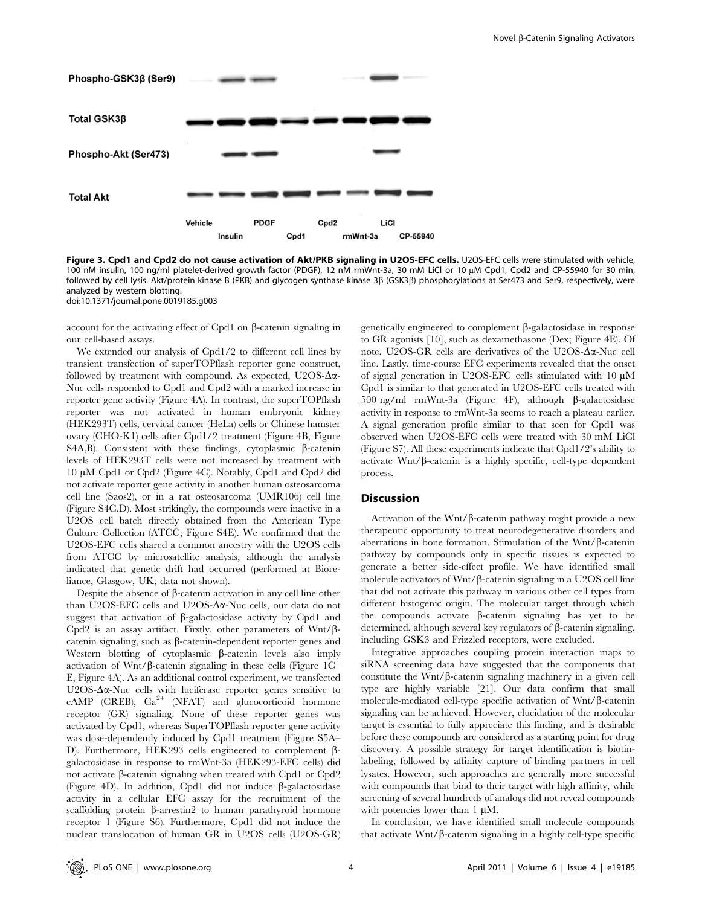

Figure 3. Cpd1 and Cpd2 do not cause activation of Akt/PKB signaling in U2OS-EFC cells. U2OS-EFC cells were stimulated with vehicle, 100 nM insulin, 100 ng/ml platelet-derived growth factor (PDGF), 12 nM rmWnt-3a, 30 mM LiCl or 10 µM Cpd1, Cpd2 and CP-55940 for 30 min, followed by cell lysis. Akt/protein kinase B (PKB) and glycogen synthase kinase 3b (GSK3b) phosphorylations at Ser473 and Ser9, respectively, were analyzed by western blotting.

doi:10.1371/journal.pone.0019185.g003

account for the activating effect of Cpd1 on  $\beta$ -catenin signaling in our cell-based assays.

We extended our analysis of Cpd1/2 to different cell lines by transient transfection of superTOPflash reporter gene construct, followed by treatment with compound. As expected, U2OS- $\Delta \alpha$ -Nuc cells responded to Cpd1 and Cpd2 with a marked increase in reporter gene activity (Figure 4A). In contrast, the superTOPflash reporter was not activated in human embryonic kidney (HEK293T) cells, cervical cancer (HeLa) cells or Chinese hamster ovary (CHO-K1) cells after Cpd1/2 treatment (Figure 4B, Figure S4A,B). Consistent with these findings, cytoplasmic  $\beta$ -catenin levels of HEK293T cells were not increased by treatment with 10 mM Cpd1 or Cpd2 (Figure 4C). Notably, Cpd1 and Cpd2 did not activate reporter gene activity in another human osteosarcoma cell line (Saos2), or in a rat osteosarcoma (UMR106) cell line (Figure S4C,D). Most strikingly, the compounds were inactive in a U2OS cell batch directly obtained from the American Type Culture Collection (ATCC; Figure S4E). We confirmed that the U2OS-EFC cells shared a common ancestry with the U2OS cells from ATCC by microsatellite analysis, although the analysis indicated that genetic drift had occurred (performed at Bioreliance, Glasgow, UK; data not shown).

Despite the absence of  $\beta$ -catenin activation in any cell line other than U2OS-EFC cells and U2OS- $\Delta \alpha$ -Nuc cells, our data do not suggest that activation of  $\beta$ -galactosidase activity by Cpd1 and Cpd2 is an assay artifact. Firstly, other parameters of  $Wnt/\beta$ catenin signaling, such as  $\beta$ -catenin-dependent reporter genes and Western blotting of cytoplasmic  $\beta$ -catenin levels also imply activation of Wnt/ $\beta$ -catenin signaling in these cells (Figure 1C– E, Figure 4A). As an additional control experiment, we transfected U2OS- $\Delta \alpha$ -Nuc cells with luciferase reporter genes sensitive to cAMP (CREB),  $Ca^{2+}$  (NFAT) and glucocorticoid hormone receptor (GR) signaling. None of these reporter genes was activated by Cpd1, whereas SuperTOPflash reporter gene activity was dose-dependently induced by Cpd1 treatment (Figure S5A– D). Furthermore, HEK293 cells engineered to complement βgalactosidase in response to rmWnt-3a (HEK293-EFC cells) did not activate  $\beta$ -catenin signaling when treated with Cpd1 or Cpd2 (Figure 4D). In addition, Cpd1 did not induce  $\beta$ -galactosidase activity in a cellular EFC assay for the recruitment of the scaffolding protein  $\beta$ -arrestin2 to human parathyroid hormone receptor 1 (Figure S6). Furthermore, Cpd1 did not induce the nuclear translocation of human GR in U2OS cells (U2OS-GR)

genetically engineered to complement  $\beta$ -galactosidase in response to GR agonists [10], such as dexamethasone (Dex; Figure 4E). Of note, U2OS-GR cells are derivatives of the U2OS- $\Delta \alpha$ -Nuc cell line. Lastly, time-course EFC experiments revealed that the onset of signal generation in U2OS-EFC cells stimulated with  $10 \mu M$ Cpd1 is similar to that generated in U2OS-EFC cells treated with 500 ng/ml rmWnt-3a (Figure 4F), although  $\beta$ -galactosidase activity in response to rmWnt-3a seems to reach a plateau earlier. A signal generation profile similar to that seen for Cpd1 was observed when U2OS-EFC cells were treated with 30 mM LiCl (Figure S7). All these experiments indicate that Cpd1/2's ability to activate  $Wnt/\beta$ -catenin is a highly specific, cell-type dependent process.

# Discussion

Activation of the Wnt/ $\beta$ -catenin pathway might provide a new therapeutic opportunity to treat neurodegenerative disorders and aberrations in bone formation. Stimulation of the Wnt/ $\beta$ -catenin pathway by compounds only in specific tissues is expected to generate a better side-effect profile. We have identified small molecule activators of Wnt/ $\beta$ -catenin signaling in a U2OS cell line that did not activate this pathway in various other cell types from different histogenic origin. The molecular target through which the compounds activate  $\beta$ -catenin signaling has yet to be determined, although several key regulators of  $\beta$ -catenin signaling, including GSK3 and Frizzled receptors, were excluded.

Integrative approaches coupling protein interaction maps to siRNA screening data have suggested that the components that constitute the Wnt/ $\beta$ -catenin signaling machinery in a given cell type are highly variable [21]. Our data confirm that small molecule-mediated cell-type specific activation of  $Wnt/\beta$ -catenin signaling can be achieved. However, elucidation of the molecular target is essential to fully appreciate this finding, and is desirable before these compounds are considered as a starting point for drug discovery. A possible strategy for target identification is biotinlabeling, followed by affinity capture of binding partners in cell lysates. However, such approaches are generally more successful with compounds that bind to their target with high affinity, while screening of several hundreds of analogs did not reveal compounds with potencies lower than  $1 \mu M$ .

In conclusion, we have identified small molecule compounds that activate  $Wnt/\beta$ -catenin signaling in a highly cell-type specific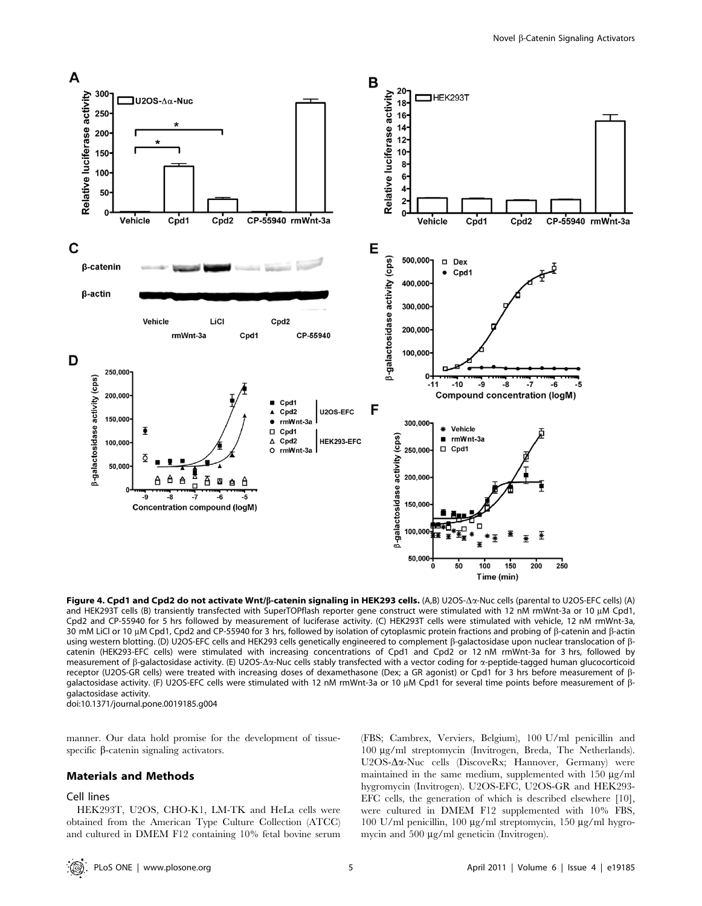

Figure 4. Cpd1 and Cpd2 do not activate Wnt/ß-catenin signaling in HEK293 cells. (A,B) U2OS- $\Delta\alpha$ -Nuc cells (parental to U2OS-EFC cells) (A) and HEK293T cells (B) transiently transfected with SuperTOPflash reporter gene construct were stimulated with 12 nM rmWnt-3a or 10 µM Cpd1, Cpd2 and CP-55940 for 5 hrs followed by measurement of luciferase activity. (C) HEK293T cells were stimulated with vehicle, 12 nM rmWnt-3a, 30 mM LiCl or 10 µM Cpd1, Cpd2 and CP-55940 for 3 hrs, followed by isolation of cytoplasmic protein fractions and probing of  $\beta$ -catenin and  $\beta$ -actin using western blotting. (D) U2OS-EFC cells and HEK293 cells genetically engineered to complement  $\beta$ -galactosidase upon nuclear translocation of  $\beta$ catenin (HEK293-EFC cells) were stimulated with increasing concentrations of Cpd1 and Cpd2 or 12 nM rmWnt-3a for 3 hrs, followed by measurement of  $\beta$ -galactosidase activity. (E) U2OS- $\Delta \alpha$ -Nuc cells stably transfected with a vector coding for  $\alpha$ -peptide-tagged human glucocorticoid receptor (U2OS-GR cells) were treated with increasing doses of dexamethasone (Dex; a GR agonist) or Cpd1 for 3 hrs before measurement of bqalactosidase activity. (F) U2OS-EFC cells were stimulated with 12 nM rmWnt-3a or 10 μM Cpd1 for several time points before measurement of βgalactosidase activity. doi:10.1371/journal.pone.0019185.g004

manner. Our data hold promise for the development of tissuespecific  $\beta$ -catenin signaling activators.

## Materials and Methods

#### Cell lines

HEK293T, U2OS, CHO-K1, LM-TK and HeLa cells were obtained from the American Type Culture Collection (ATCC) and cultured in DMEM F12 containing 10% fetal bovine serum

(FBS; Cambrex, Verviers, Belgium), 100 U/ml penicillin and 100 mg/ml streptomycin (Invitrogen, Breda, The Netherlands). U2OS-Δα-Nuc cells (DiscoveRx; Hannover, Germany) were maintained in the same medium, supplemented with  $150 \mu\text{g/ml}$ hygromycin (Invitrogen). U2OS-EFC, U2OS-GR and HEK293- EFC cells, the generation of which is described elsewhere [10], were cultured in DMEM F12 supplemented with 10% FBS, 100 U/ml penicillin, 100  $\mu$ g/ml streptomycin, 150  $\mu$ g/ml hygromycin and 500 µg/ml geneticin (Invitrogen).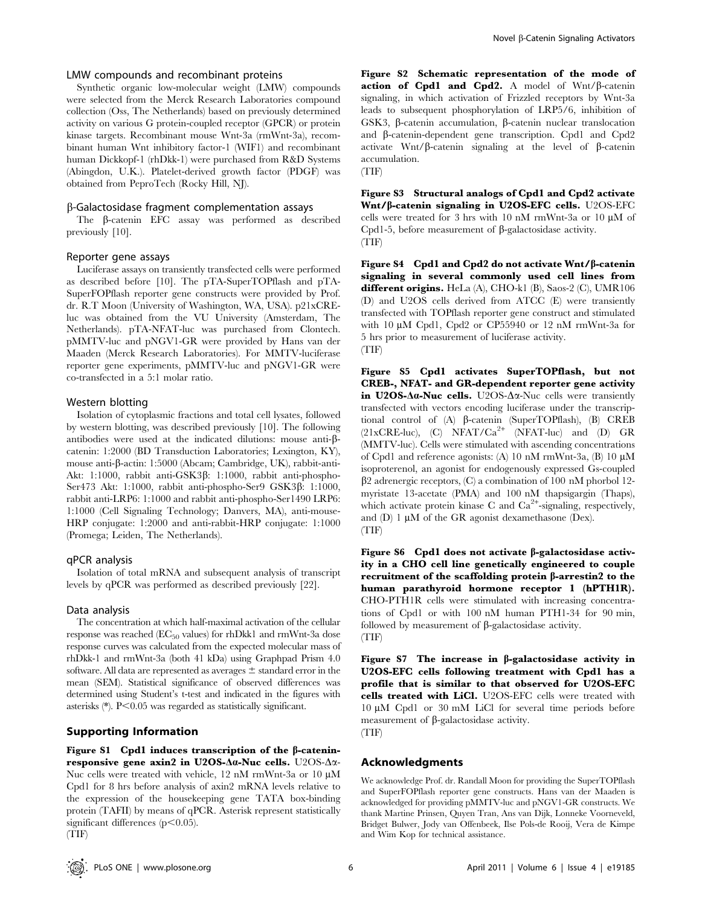# LMW compounds and recombinant proteins

Synthetic organic low-molecular weight (LMW) compounds were selected from the Merck Research Laboratories compound collection (Oss, The Netherlands) based on previously determined activity on various G protein-coupled receptor (GPCR) or protein kinase targets. Recombinant mouse Wnt-3a (rmWnt-3a), recombinant human Wnt inhibitory factor-1 (WIF1) and recombinant human Dickkopf-1 (rhDkk-1) were purchased from R&D Systems (Abingdon, U.K.). Platelet-derived growth factor (PDGF) was obtained from PeproTech (Rocky Hill, NJ).

#### b-Galactosidase fragment complementation assays

The b-catenin EFC assay was performed as described previously [10].

#### Reporter gene assays

Luciferase assays on transiently transfected cells were performed as described before [10]. The pTA-SuperTOPflash and pTA-SuperFOPflash reporter gene constructs were provided by Prof. dr. R.T Moon (University of Washington, WA, USA). p21xCREluc was obtained from the VU University (Amsterdam, The Netherlands). pTA-NFAT-luc was purchased from Clontech. pMMTV-luc and pNGV1-GR were provided by Hans van der Maaden (Merck Research Laboratories). For MMTV-luciferase reporter gene experiments, pMMTV-luc and pNGV1-GR were co-transfected in a 5:1 molar ratio.

#### Western blotting

Isolation of cytoplasmic fractions and total cell lysates, followed by western blotting, was described previously [10]. The following antibodies were used at the indicated dilutions: mouse anti-bcatenin: 1:2000 (BD Transduction Laboratories; Lexington, KY), mouse anti-b-actin: 1:5000 (Abcam; Cambridge, UK), rabbit-anti-Akt: 1:1000, rabbit anti-GSK3β: 1:1000, rabbit anti-phospho-Ser473 Akt: 1:1000, rabbit anti-phospho-Ser9 GSK3b: 1:1000, rabbit anti-LRP6: 1:1000 and rabbit anti-phospho-Ser1490 LRP6: 1:1000 (Cell Signaling Technology; Danvers, MA), anti-mouse-HRP conjugate: 1:2000 and anti-rabbit-HRP conjugate: 1:1000 (Promega; Leiden, The Netherlands).

#### qPCR analysis

Isolation of total mRNA and subsequent analysis of transcript levels by qPCR was performed as described previously [22].

# Data analysis

The concentration at which half-maximal activation of the cellular response was reached (EC<sub>50</sub> values) for rhDkk1 and rmWnt-3a dose response curves was calculated from the expected molecular mass of rhDkk-1 and rmWnt-3a (both 41 kDa) using Graphpad Prism 4.0 software. All data are represented as averages  $\pm$  standard error in the mean (SEM). Statistical significance of observed differences was determined using Student's t-test and indicated in the figures with asterisks  $(*)$ . P $< 0.05$  was regarded as statistically significant.

# Supporting Information

Figure S1 Cpd1 induces transcription of the  $\beta$ -cateninresponsive gene axin2 in U2OS- $\Delta a$ -Nuc cells. U2OS- $\Delta a$ -Nuc cells were treated with vehicle, 12 nM rmWnt-3a or 10  $\mu$ M Cpd1 for 8 hrs before analysis of axin2 mRNA levels relative to the expression of the housekeeping gene TATA box-binding protein (TAFII) by means of qPCR. Asterisk represent statistically significant differences  $(p<0.05)$ . (TIF)

Figure S2 Schematic representation of the mode of action of Cpd1 and Cpd2. A model of  $Wnt/\beta$ -catenin signaling, in which activation of Frizzled receptors by Wnt-3a leads to subsequent phosphorylation of LRP5/6, inhibition of GSK3, β-catenin accumulation, β-catenin nuclear translocation and b-catenin-dependent gene transcription. Cpd1 and Cpd2 activate Wnt/ $\beta$ -catenin signaling at the level of  $\beta$ -catenin accumulation.

(TIF)

Figure S3 Structural analogs of Cpd1 and Cpd2 activate Wnt/b-catenin signaling in U2OS-EFC cells. U2OS-EFC cells were treated for 3 hrs with 10 nM rmWnt-3a or 10  $\mu$ M of Cpd1-5, before measurement of  $\beta$ -galactosidase activity. (TIF)

Figure S4 Cpd1 and Cpd2 do not activate Wnt/ $\beta$ -catenin signaling in several commonly used cell lines from different origins. HeLa (A), CHO-k1 (B), Saos-2 (C), UMR106 (D) and U2OS cells derived from ATCC (E) were transiently transfected with TOPflash reporter gene construct and stimulated with 10  $\mu$ M Cpd1, Cpd2 or CP55940 or 12 nM rmWnt-3a for 5 hrs prior to measurement of luciferase activity. (TIF)

Figure S5 Cpd1 activates SuperTOPflash, but not CREB-, NFAT- and GR-dependent reporter gene activity in U2OS- $\Delta \alpha$ -Nuc cells. U2OS- $\Delta \alpha$ -Nuc cells were transiently transfected with vectors encoding luciferase under the transcriptional control of (A) b-catenin (SuperTOPflash), (B) CREB  $(21xCRE-luc)$ ,  $(C)$  NFAT/Ca<sup>2+</sup> (NFAT-luc) and  $(D)$  GR (MMTV-luc). Cells were stimulated with ascending concentrations of Cpd1 and reference agonists: (A) 10 nM rmWnt-3a, (B) 10  $\mu$ M isoproterenol, an agonist for endogenously expressed Gs-coupled  $\beta$ 2 adrenergic receptors, (C) a combination of 100 nM phorbol 12myristate 13-acetate (PMA) and 100 nM thapsigargin (Thaps), which activate protein kinase C and  $Ca^{2+}$ -signaling, respectively, and  $(D)$  1  $\mu$ M of the GR agonist dexamethasone (Dex). (TIF)

Figure S6 Cpd1 does not activate  $\beta$ -galactosidase activity in a CHO cell line genetically engineered to couple recruitment of the scaffolding protein  $\beta$ -arrestin2 to the human parathyroid hormone receptor 1 (hPTH1R). CHO-PTH1R cells were stimulated with increasing concentrations of Cpd1 or with 100 nM human PTH1-34 for 90 min, followed by measurement of  $\beta$ -galactosidase activity. (TIF)

Figure S7 The increase in  $\beta$ -galactosidase activity in U2OS-EFC cells following treatment with Cpd1 has a profile that is similar to that observed for U2OS-EFC cells treated with LiCl. U2OS-EFC cells were treated with  $10 \mu M$  Cpd1 or 30 mM LiCl for several time periods before measurement of  $\beta$ -galactosidase activity. (TIF)

# Acknowledgments

We acknowledge Prof. dr. Randall Moon for providing the SuperTOPflash and SuperFOPflash reporter gene constructs. Hans van der Maaden is acknowledged for providing pMMTV-luc and pNGV1-GR constructs. We thank Martine Prinsen, Quyen Tran, Ans van Dijk, Lonneke Voorneveld, Bridget Bulwer, Jody van Offenbeek, Ilse Pols-de Rooij, Vera de Kimpe and Wim Kop for technical assistance.